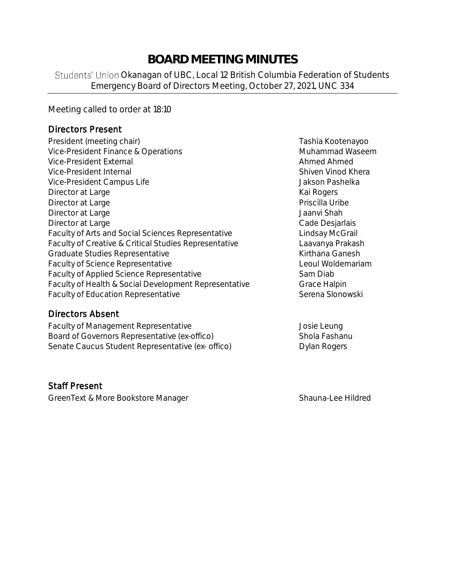# **BOARD MEETING MINUTES**

Students' Union Okanagan of UBC, Local 12 British Columbia Federation of Students Emergency Board of Directors Meeting, October 27, 2021, UNC 334

Meeting called to order at 18:10

#### Directors Present

- President (meeting chair) Tashia Kootenayoo Vice-President Finance & Operations Muhammad Waseem Vice-President External Ahmed Ahmed Ahmed Ahmed Ahmed Ahmed Ahmed Ahmed Ahmed Ahmed Ahmed Ahmed Ahmed Ahmed Ahmed Ahmed Ahmed Ahmed Ahmed Ahmed Ahmed Ahmed Ahmed Ahmed Ahmed Ahmed Ahmed Ahmed Ahmed Ahmed Ahmed Ahmed Ahmed Vice-President Internal **Shiven Vinod Khera** Shiven Vinod Khera Vice-President Campus Life  $\overline{\phantom{a}}$  Jakson Pashelka Director at Large Kai Rogers (Kai Rogers Kai Rogers Kai Rogers Kai Rogers Kai Rogers Kai Rogers Kai Rogers Kai Rogers Kai Rogers Kai Rogers Kai Rogers Kai Rogers Kai Rogers Kai Rogers Kai Rogers Kai Rogers Kai Rogers Kai R Director at Large **Priscilla Uribe** Priscilla Uribe **Priscilla Uribe** Director at Large Jaanvi Shah Director at Large **Cade Desjarlais** Cade Desjarlais Faculty of Arts and Social Sciences Representative Lindsay McGrail Faculty of Creative & Critical Studies Representative Laavanya Prakash Graduate Studies Representative **Kirthana Ganesh** Kirthana Ganesh Faculty of Science Representative **Leoul Woldemariam** Faculty of Applied Science Representative Sam Diab Faculty of Health & Social Development Representative Grace Halpin Faculty of Education Representative **Serena Slonowski** Serena Slonowski
- Directors Absent

Faculty of Management Representative **Faculty** of Management Representative Board of Governors Representative (*ex-offico*) Shola Fashanu Senate Caucus Student Representative (ex- offico) Dylan Rogers

Staff Present

GreenText & More Bookstore Manager Shauna-Lee Hildred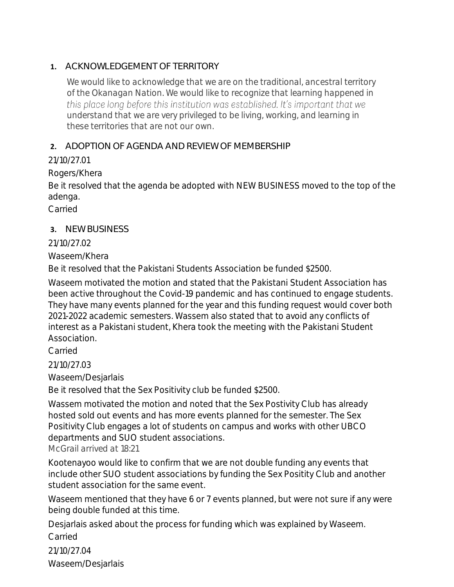### **1.** ACKNOWLEDGEMENT OF TERRITORY

*We would like to acknowledge that we are on the traditional, ancestral territory of the Okanagan Nation. We would like to recognize that learning happened in*  this place long before this institution was established. It's important that we *understand that we are very privileged to be living, working, and learning in these territories that are not our own.*

### **2.** ADOPTION OF AGENDA AND REVIEW OF MEMBERSHIP

# 21/10/27.01

Rogers/Khera

Be it resolved that the agenda be adopted with NEW BUSINESS moved to the top of the adenga.

Carried

# **3.** NEW BUSINESS

### 21/10/27.02

Waseem/Khera

Be it resolved that the Pakistani Students Association be funded \$2500.

Waseem motivated the motion and stated that the Pakistani Student Association has been active throughout the Covid-19 pandemic and has continued to engage students. They have many events planned for the year and this funding request would cover both 2021-2022 academic semesters. Wassem also stated that to avoid any conflicts of interest as a Pakistani student, Khera took the meeting with the Pakistani Student Association.

Carried

21/10/27.03

Waseem/Desjarlais

Be it resolved that the Sex Positivity club be funded \$2500.

Wassem motivated the motion and noted that the Sex Postivity Club has already hosted sold out events and has more events planned for the semester. The Sex Positivity Club engages a lot of students on campus and works with other UBCO departments and SUO student associations.

*McGrail arrived at 18:21*

Kootenayoo would like to confirm that we are not double funding any events that include other SUO student associations by funding the Sex Positity Club and another student association for the same event.

Waseem mentioned that they have 6 or 7 events planned, but were not sure if any were being double funded at this time.

Desjarlais asked about the process for funding which was explained by Waseem. Carried

21/10/27.04 Waseem/Desjarlais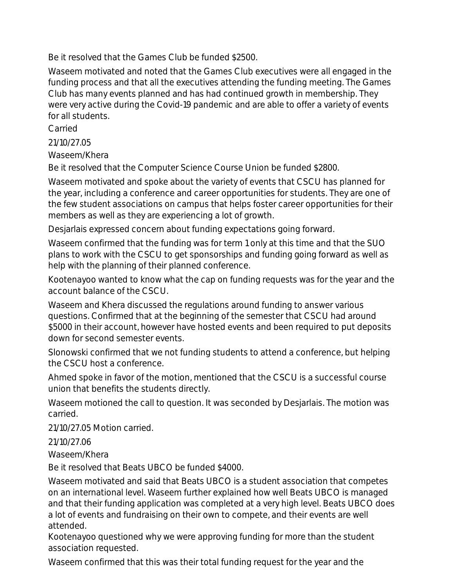Be it resolved that the Games Club be funded \$2500.

Waseem motivated and noted that the Games Club executives were all engaged in the funding process and that all the executives attending the funding meeting. The Games Club has many events planned and has had continued growth in membership. They were very active during the Covid-19 pandemic and are able to offer a variety of events for all students.

Carried

21/10/27.05

Waseem/Khera

Be it resolved that the Computer Science Course Union be funded \$2800.

Waseem motivated and spoke about the variety of events that CSCU has planned for the year, including a conference and career opportunities for students. They are one of the few student associations on campus that helps foster career opportunities for their members as well as they are experiencing a lot of growth.

Desjarlais expressed concern about funding expectations going forward.

Waseem confirmed that the funding was for term 1 only at this time and that the SUO plans to work with the CSCU to get sponsorships and funding going forward as well as help with the planning of their planned conference.

Kootenayoo wanted to know what the cap on funding requests was for the year and the account balance of the CSCU.

Waseem and Khera discussed the regulations around funding to answer various questions. Confirmed that at the beginning of the semester that CSCU had around \$5000 in their account, however have hosted events and been required to put deposits down for second semester events.

Slonowski confirmed that we not funding students to attend a conference, but helping the CSCU host a conference.

Ahmed spoke in favor of the motion, mentioned that the CSCU is a successful course union that benefits the students directly.

Waseem motioned the call to question. It was seconded by Desjarlais. The motion was carried.

21/10/27.05 Motion carried.

21/10/27.06

Waseem/Khera

Be it resolved that Beats UBCO be funded \$4000.

Waseem motivated and said that Beats UBCO is a student association that competes on an international level. Waseem further explained how well Beats UBCO is managed and that their funding application was completed at a very high level. Beats UBCO does a lot of events and fundraising on their own to compete, and their events are well attended.

Kootenayoo questioned why we were approving funding for more than the student association requested.

Waseem confirmed that this was their total funding request for the year and the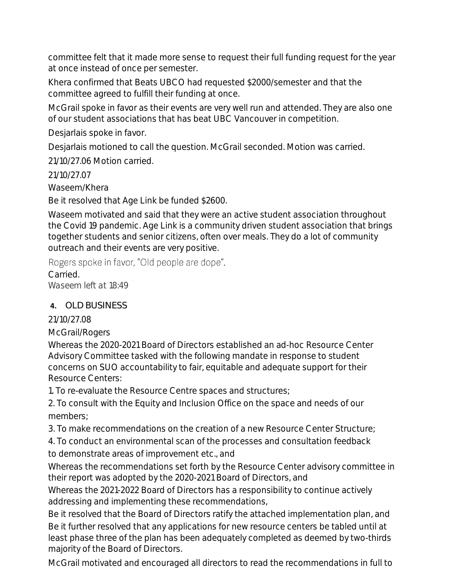committee felt that it made more sense to request their full funding request for the year at once instead of once per semester.

Khera confirmed that Beats UBCO had requested \$2000/semester and that the committee agreed to fulfill their funding at once.

McGrail spoke in favor as their events are very well run and attended. They are also one of our student associations that has beat UBC Vancouver in competition.

Desjarlais spoke in favor.

Desjarlais motioned to call the question. McGrail seconded. Motion was carried.

21/10/27.06 Motion carried.

21/10/27.07

Waseem/Khera

Be it resolved that Age Link be funded \$2600.

Waseem motivated and said that they were an active student association throughout the Covid 19 pandemic. Age Link is a community driven student association that brings together students and senior citizens, often over meals. They do a lot of community outreach and their events are very positive.

Rogers spoke in favor, "Old people are dope".

**Carried** *Waseem left at 18:49*

# **4.** OLD BUSINESS

# 21/10/27.08

McGrail/Rogers

Whereas the 2020-2021 Board of Directors established an ad-hoc Resource Center Advisory Committee tasked with the following mandate in response to student concerns on SUO accountability to fair, equitable and adequate support for their Resource Centers:

1. To re-evaluate the Resource Centre spaces and structures;

2. To consult with the Equity and Inclusion Office on the space and needs of our members;

3. To make recommendations on the creation of a new Resource Center Structure;

4. To conduct an environmental scan of the processes and consultation feedback

to demonstrate areas of improvement etc., and

Whereas the recommendations set forth by the Resource Center advisory committee in their report was adopted by the 2020-2021 Board of Directors, and

Whereas the 2021-2022 Board of Directors has a responsibility to continue actively addressing and implementing these recommendations,

Be it resolved that the Board of Directors ratify the attached implementation plan, and Be it further resolved that any applications for new resource centers be tabled until at least phase three of the plan has been adequately completed as deemed by two-thirds majority of the Board of Directors.

McGrail motivated and encouraged all directors to read the recommendations in full to